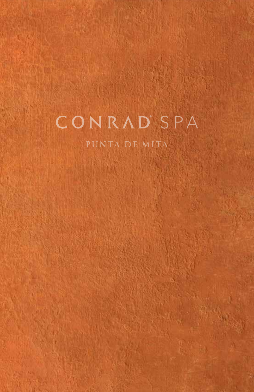# CONRAD'SPA

PUNTA DE MITA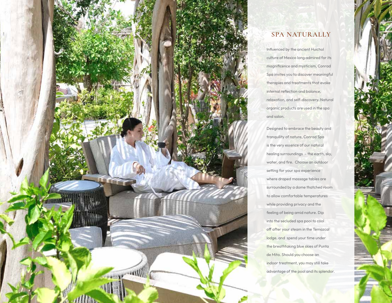

# **SPA NATURALLY**

Influenced by the ancient Huichol culture of Mexico long admired for its magnificence and mysticism, Conrad Spa invites you to discover meaningful therapies and treatments that evoke internal reflection and balance, relaxation, and self-discovery. Natural organic products are used in the spa and salon.

Designed to embrace the beauty and tranquility of nature, Conrad Spa is the very essence of our natural healing surroundings – the earth, sky, water, and fire. Choose an outdoor setting for your spa experience where draped massage tables are surrounded by a dome thatched room to allow comfortable temperatures while providing privacy and the feeling of being amid nature. Dip into the secluded spa pool to cool off after your steam in the Temazcal lodge, and spend your time under the breathtaking blue skies of Punta de Mita. Should you choose an indoor treatment, you may still take advantage of the pool and its splendor.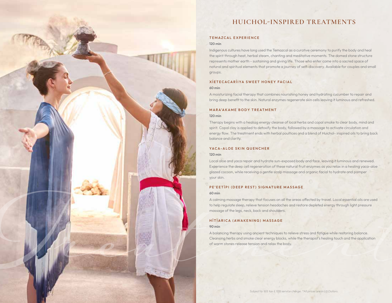# **HUICHOL-INSPIRED TREATMENTS**

## TEMAZCAL EXPERIENCE

#### 120 min

Indigenous cultures have long used the Temazcal as a curative ceremony to purify the body and heal the spirit through heat, herbal steam, chanting and meditative moments. The domed stone structure represents mother earth - sustaining and giving life. Those who enter come into a sacred space of natural and spiritual elements that promote a journey of self-discovery. Available for couples and small groups.

# XÍ ET ECACARÍ I YA SWEET HONEY FACIAL

#### 60 min

A moisturizing facial therapy that combines nourishing honey and hydrating cucumber to repair and bring deep benefit to the skin. Natural enzymes regenerate skin cells leaving it luminous and refreshed.

#### MARA'AKAME BODY TREATMENT

#### 120 min

Therapy begins with a healiag energy cleanse of local herbs and copal smoke to clear body, mind and spirit. Copal clay is applied to detoxify the body, followed by a massage to activate circulation and energy flow. The treatment ends with herbal poultices and a blend of Huichol- inspired oils to bring back balance and clarity.

#### YACA-ALOF SKIN QUENCHER

#### 120 min

Local aloe and yaca repair and hydrate sun-exposed body and face, leaving it luminous and renewed. Experience the deep cell regeneration of these natural fruit enzymes as you relax in a healing yaca-aloe glazed cocoon, while receiving a gentle scalp massage and organic facial to hydrate and pamper your skin.

#### PE'EETÏPI (DEEP REST) SIGNATURE MASSAGE

#### 60 min

A calming massage therapy that focuses on all the areas affected by travel. Local essential oils are used to help regulate sleep, relieve tension headaches and restore depleted energy through light pressure massage of the legs, neck, back and shoulders.

# HÏTÏARICA (AWAKENING) MASSAGE

#### 90 min

massage of the legs, neck, back and shoulders.<br>
HTTTARICA (AWAKENING) MASSAGE<br>
<sup>90</sup>min<br>Abalancing therapy using ancient techniques to relieve stress and fatigue while restoring balance.<br>Cleansing herbs and smoke clear ener A balancing therapy using ancient techniques to relieve stress and fatigue while restoring balance. Cleansing herbs and smoke clear energy blocks, while the therapist's healing touch and the application of warm stones release tension and relax the body.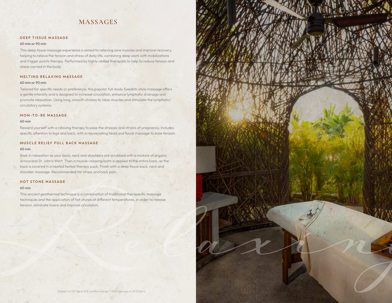# **MASSAGES**

# DEEP TISSUE MASSAGE

## 60 min or 90 min

This deep tissue massage experience is aimed to relieving sore muscles and improve recovery, helping to relieve the tension and stress of daily life, combining deep work with mobilizations and trigger points therapy. Performed by highly-skilled therapists to help to reduce tension and stress carried in the body.

# MELTING RELAXING MASSAGE

#### 60 min or 90 min

Tailored for specific needs or preference, this popular full-body Swedish-style massage offers a gentle intensity and is designed to increase circulation, enhance lymphatic drainage and promote relaxation. Using long, smooth strokes to relax muscles and stimulate the lymphatic/ circulatory systems.

# MOM-TO-BE MASSAGE

#### 60 min

Reward yourself with a relaxing therapy to ease the stresses and strains of pregnancy. Includes specific attention to legs and back, with a rejuvenating head and facial massage to ease tension.

# MUSCLE RELIEF FULL BACK MASSAGE

#### 60 min

Bask in relaxation as your back, neck and shoulders are scrubbed with a mixture of organic arnica and St. John's Wort. Then a muscle-relaxing balm is applied to the entire back, as the back is covered in a heated herbal therapy pack. Finish with a deep tissue back, neck and shoulder massage. Recommended for stress and back pain.

# HOT STONE MASSAGE

#### 60 min

This ancient geothermal technique is a combination of traditional therapeutic massage techniques and the application of hot stones at different temperatures, in order to release tension, eliminate toxins and improve circulation.

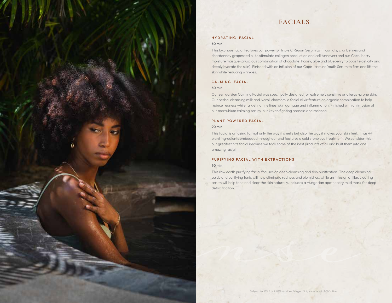# **FACIALS**

# HYDRATING FACIAL

## 60 min

This luxurious facial features our powerful Triple C Repair Serum (with carrots, cranberries and chardonnay grapeseed oil to stimulate collagen production and cell turnover) and our Coco-berry moisture masque (a luscious combination of chocolate, honey, aloe and blueberry to boost elasticity and deeply hydrate the skin). Finished with an infusion of our Cape Jasmine Youth Serum to firm and lift the skin while reducing wrinkles.

## CALMING FACIAL

#### 60 min

Our zen garden Calming Facial was specifically designed for extremely sensitive or allergy-prone skin. Our herbal cleansing milk and Neroli chamomile facial elixir feature an organic combination to help reduce redness while targeting fine lines, skin damage and inflammation. Finished with an infusion of our marrubium calming serum, our key to fighting redness and rosacea.

## PLANT POWERED FACIAL

#### 90 min

This facial is amazing for not only the way it smells but also the way it makes your skin feel. It has 44 plant ingredients embedded throughout and features a cold stone eye treatment. We consider this our greatest hits facial because we took some of the best products of all and built them into one amazing facial.

# PURIFYING FACIAL WITH EXTRACTIONS

#### 90 min

*Cleanse*

This raw earth purifying facial focuses on deep cleansing and skin purification. The deep cleansing scrub and purifying tonic will help eliminate redness and blemishes, while an infusion of lilac clearing serum will help tone and clear the skin naturally. Includes a Hungarian apothecary mud mask for deep detoxification.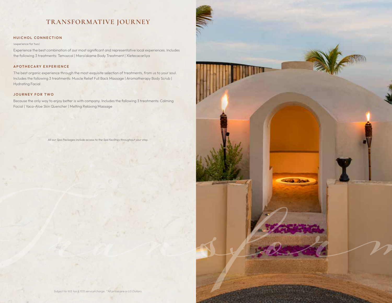# **TRANSFORMATIVE JOURNEY**

# HUICHOL CONNECTION

#### (experience for two)

Experience the best combination of our most significant and representative local experiences. Includes the following 3 treatments: Temazcal | Mara'akame Body Treatment | Xíetecacaríiya

## APOTHECARY EXPERIENCE

The best organic experience through the most exquisite selection of treatments, from us to your soul. Includes the following 3 treatments: Muscle Relief Full Back Massage | Aromatherapy Body Scrub | Hydrating Facial

# JOURNEY FOR TWO

Because the only way to enjoy better is with company. Includes the following 3 treatments: Calming Facial | Yaca-Aloe Skin Quencher | Melting Relaxing Massage

All our Spa Packages include access to the Spa facilities throughout your stay.

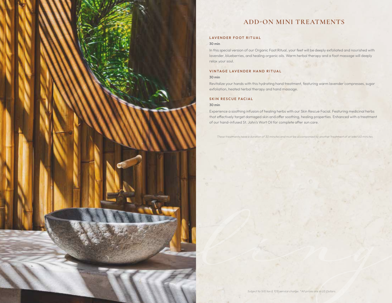

# **ADD-ON MINI TREATMENTS**

# LAVENDER FOOT RITUAL

#### 30 min

In this special version of our Organic Foot Ritual, your feet will be deeply exfoliated and nourished with lavender, blueberries, and healing organic oils. Warm herbal therapy and a foot massage will deeply relax your soul.

# VINTAGE LAVENDER HAND RITUAL

## 30 min

Revitalize your hands with this hydrating hand treatment, featuring warm lavender compresses, sugar exfoliation, heated herbal therapy and hand massage.

# SKIN RESCUE FACIAL

#### 30 min

Experience a soothing infusion of healing herbs with our Skin Rescue Facial. Featuring medicinal herbs that effectively target damaged skin and offer soothing, healing properties. Enhanced with a treatment of our hand-infused St. John's Wort Oil for complete after sun care.

These treatments have a duration of 30 minutes and must be accompanied by another treatment of at least 60 minutes.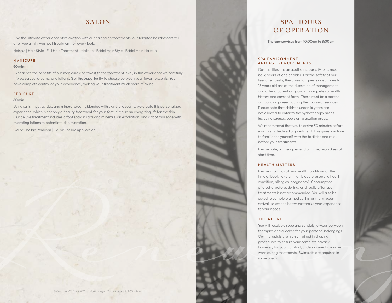# **SALON**

Live the ultimate experience of relaxation with our hair salon treatments, our talented hairdressers will offer you a mini washout treatment for every look.

Haircut | Hair Style | Full Hair Treatment | Makeup | Bridal Hair Style | Bridal Hair Makeup

#### MANICURE

# 60 min

Experience the benefits of our manicure and take it to the treatment level, in this experience we carefully mix up scrubs, creams, and lotions. Get the opportunity to choose between your favorite scents. You have complete control of your experience, making your treatment much more relaxing.

#### PEDICURE

#### 60 min

Using salts, mud, scrubs, and mineral creams blended with signature scents, we create this personalized experience, which is not only a beauty treatment for your feet, but also an energizing lift for the skin. Our deluxe treatment includes a foot soak in salts and minerals, an exfoliation, and a foot massage with hydrating lotions to potentiate skin hydration.

Gel or Shellac Removal | Gel or Shellac Application

# **SPA HOURS OF OPERATION**

Therapy services from 10:00am to 8:00pm

#### SPA ENVIRONMENT AND AGE REQUIREMENTS

Our facilities are an adult sanctuary. Guests must be 16 years of age or older. For the safety of our teenage guests, therapies for guests aged three to 15 years old are at the discretion of management, and after a parent or guardian completes a health history and consent form. There must be a parent or guardian present during the course of services. Please note that children under 16 years are not allowed to enter to the hydrotherapy areas, including saunas, pools or relaxation areas.

We recommend that you to arrive 30 minutes before your first scheduled appointment. This gives you time to familiarize yourself with the facilities and relax before your treatments.

Please note, all therapies end on time, regardless of start time.

# HEALTH MATTERS

Please inform us of any health conditions at the time of booking (e.g., high blood pressure, a heart condition, allergies, pregnancy). Consumption of alcohol before, during, or directly after spa treatments is not recommended. You will also be asked to complete a medical history form upon arrival, so we can better customize your experience to your needs.

## THE ATTIRE

**RENEXATERE**<br> **RENEXATERE**<br> **RENEWING CONDECITIER**<br> **RENEWING CONDECITY (AND THE CONDECITY CONDECITY)**<br> **REGISTER AND CONDECITY CONDECITY (AND THE CONDECITY)**<br>
OUTER PERSIS FOR BRIDGE POWER, INTERNATION CONDECITY (AND COND You will receive a robe and sandals to wear between therapies and a locker for your personal belongings. Our therapists are highly trained in draping procedures to ensure your complete privacy; however, for your comfort, undergarments may be worn during treatments. Swimsuits are required in some areas.